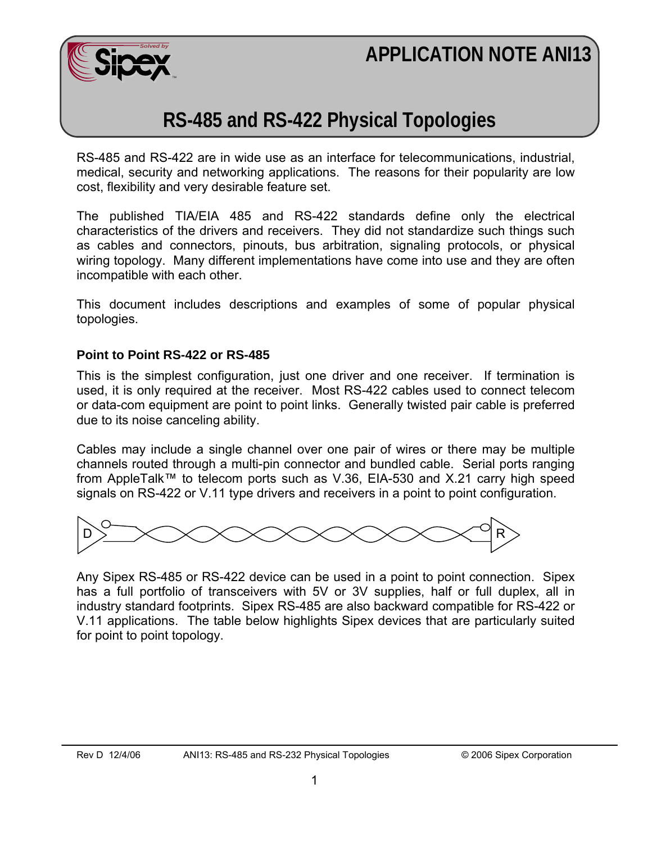# **APPLICATION NOTE ANI13**



# **RS-485 and RS-422 Physical Topologies**

RS-485 and RS-422 are in wide use as an interface for telecommunications, industrial, medical, security and networking applications. The reasons for their popularity are low cost, flexibility and very desirable feature set.

The published TIA/EIA 485 and RS-422 standards define only the electrical characteristics of the drivers and receivers. They did not standardize such things such as cables and connectors, pinouts, bus arbitration, signaling protocols, or physical wiring topology. Many different implementations have come into use and they are often incompatible with each other.

This document includes descriptions and examples of some of popular physical topologies.

#### **Point to Point RS-422 or RS-485**

This is the simplest configuration, just one driver and one receiver. If termination is used, it is only required at the receiver. Most RS-422 cables used to connect telecom or data-com equipment are point to point links. Generally twisted pair cable is preferred due to its noise canceling ability.

Cables may include a single channel over one pair of wires or there may be multiple channels routed through a multi-pin connector and bundled cable. Serial ports ranging from AppleTalk™ to telecom ports such as V.36, EIA-530 and X.21 carry high speed signals on RS-422 or V.11 type drivers and receivers in a point to point configuration.



Any Sipex RS-485 or RS-422 device can be used in a point to point connection. Sipex has a full portfolio of transceivers with 5V or 3V supplies, half or full duplex, all in industry standard footprints. Sipex RS-485 are also backward compatible for RS-422 or V.11 applications. The table below highlights Sipex devices that are particularly suited for point to point topology.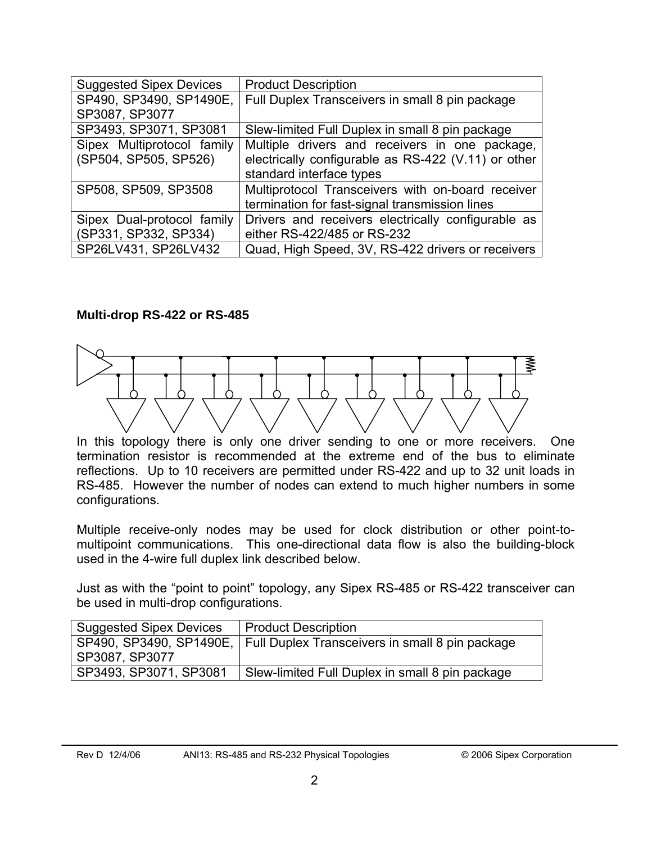| <b>Suggested Sipex Devices</b> | <b>Product Description</b>                          |
|--------------------------------|-----------------------------------------------------|
| SP490, SP3490, SP1490E,        | Full Duplex Transceivers in small 8 pin package     |
| SP3087, SP3077                 |                                                     |
| SP3493, SP3071, SP3081         | Slew-limited Full Duplex in small 8 pin package     |
| Sipex Multiprotocol family     | Multiple drivers and receivers in one package,      |
| (SP504, SP505, SP526)          | electrically configurable as RS-422 (V.11) or other |
|                                | standard interface types                            |
| SP508, SP509, SP3508           | Multiprotocol Transceivers with on-board receiver   |
|                                | termination for fast-signal transmission lines      |
| Sipex Dual-protocol family     | Drivers and receivers electrically configurable as  |
| (SP331, SP332, SP334)          | either RS-422/485 or RS-232                         |
| SP26LV431, SP26LV432           | Quad, High Speed, 3V, RS-422 drivers or receivers   |

#### **Multi-drop RS-422 or RS-485**



In this topology there is only one driver sending to one or more receivers. One termination resistor is recommended at the extreme end of the bus to eliminate reflections. Up to 10 receivers are permitted under RS-422 and up to 32 unit loads in RS-485. However the number of nodes can extend to much higher numbers in some configurations.

Multiple receive-only nodes may be used for clock distribution or other point-tomultipoint communications. This one-directional data flow is also the building-block used in the 4-wire full duplex link described below.

Just as with the "point to point" topology, any Sipex RS-485 or RS-422 transceiver can be used in multi-drop configurations.

| <b>Suggested Sipex Devices</b> | <b>Product Description</b>                                              |
|--------------------------------|-------------------------------------------------------------------------|
|                                | SP490, SP3490, SP1490E, Full Duplex Transceivers in small 8 pin package |
| SP3087, SP3077                 |                                                                         |
| SP3493, SP3071, SP3081         | Slew-limited Full Duplex in small 8 pin package                         |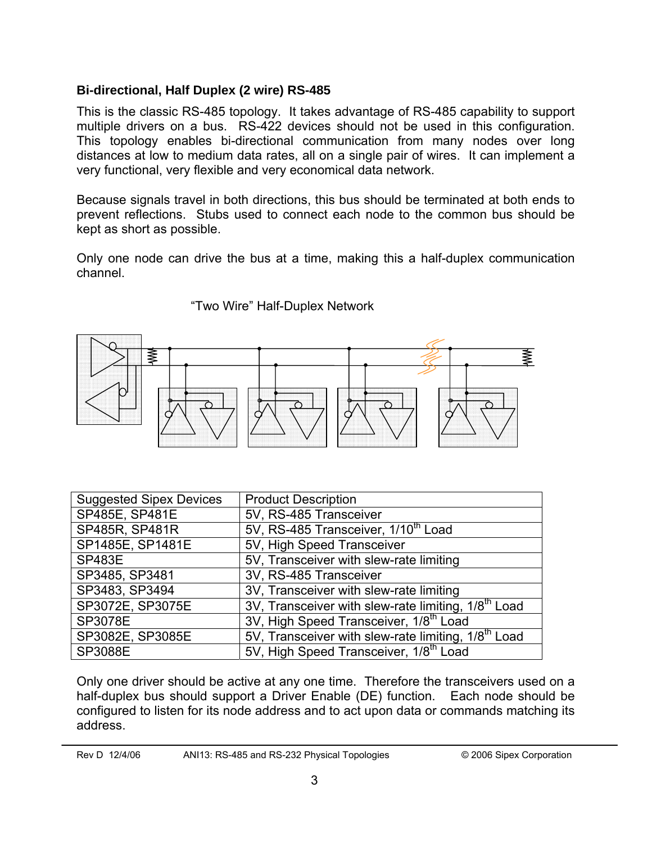### **Bi-directional, Half Duplex (2 wire) RS-485**

This is the classic RS-485 topology. It takes advantage of RS-485 capability to support multiple drivers on a bus. RS-422 devices should not be used in this configuration. This topology enables bi-directional communication from many nodes over long distances at low to medium data rates, all on a single pair of wires. It can implement a very functional, very flexible and very economical data network.

Because signals travel in both directions, this bus should be terminated at both ends to prevent reflections. Stubs used to connect each node to the common bus should be kept as short as possible.

Only one node can drive the bus at a time, making this a half-duplex communication channel.



"Two Wire" Half-Duplex Network

| Suggested Sipex Devices | <b>Product Description</b>                                      |
|-------------------------|-----------------------------------------------------------------|
| SP485E, SP481E          | 5V, RS-485 Transceiver                                          |
| SP485R, SP481R          | 5V, RS-485 Transceiver, 1/10 <sup>th</sup> Load                 |
| SP1485E, SP1481E        | 5V, High Speed Transceiver                                      |
| <b>SP483E</b>           | 5V, Transceiver with slew-rate limiting                         |
| SP3485, SP3481          | 3V, RS-485 Transceiver                                          |
| SP3483, SP3494          | 3V, Transceiver with slew-rate limiting                         |
| SP3072E, SP3075E        | 3V, Transceiver with slew-rate limiting, 1/8 <sup>th</sup> Load |
| <b>SP3078E</b>          | 3V, High Speed Transceiver, 1/8 <sup>th</sup> Load              |
| SP3082E, SP3085E        | 5V, Transceiver with slew-rate limiting, 1/8 <sup>th</sup> Load |
| <b>SP3088E</b>          | 5V, High Speed Transceiver, 1/8 <sup>th</sup> Load              |

Only one driver should be active at any one time. Therefore the transceivers used on a half-duplex bus should support a Driver Enable (DE) function. Each node should be configured to listen for its node address and to act upon data or commands matching its address.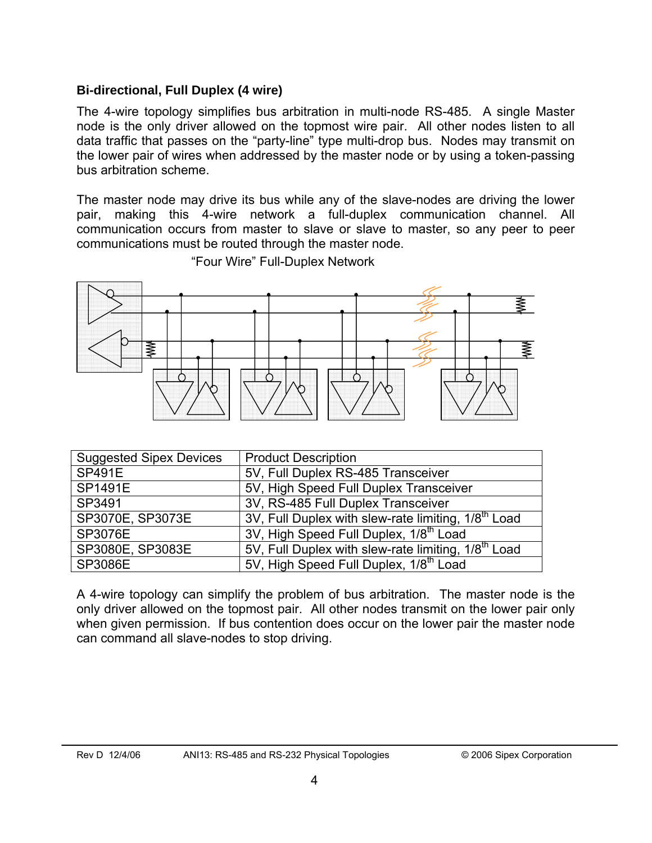#### **Bi-directional, Full Duplex (4 wire)**

The 4-wire topology simplifies bus arbitration in multi-node RS-485. A single Master node is the only driver allowed on the topmost wire pair. All other nodes listen to all data traffic that passes on the "party-line" type multi-drop bus. Nodes may transmit on the lower pair of wires when addressed by the master node or by using a token-passing bus arbitration scheme.

The master node may drive its bus while any of the slave-nodes are driving the lower pair, making this 4-wire network a full-duplex communication channel. All communication occurs from master to slave or slave to master, so any peer to peer communications must be routed through the master node.



"Four Wire" Full-Duplex Network

| <b>Suggested Sipex Devices</b> | <b>Product Description</b>                                      |
|--------------------------------|-----------------------------------------------------------------|
| <b>SP491E</b>                  | 5V, Full Duplex RS-485 Transceiver                              |
| <b>SP1491E</b>                 | 5V, High Speed Full Duplex Transceiver                          |
| SP3491                         | 3V, RS-485 Full Duplex Transceiver                              |
| SP3070E, SP3073E               | 3V, Full Duplex with slew-rate limiting, 1/8 <sup>th</sup> Load |
| <b>SP3076E</b>                 | 3V, High Speed Full Duplex, 1/8 <sup>th</sup> Load              |
| SP3080E, SP3083E               | 5V, Full Duplex with slew-rate limiting, 1/8 <sup>th</sup> Load |
| <b>SP3086E</b>                 | 5V, High Speed Full Duplex, 1/8 <sup>th</sup> Load              |

A 4-wire topology can simplify the problem of bus arbitration. The master node is the only driver allowed on the topmost pair. All other nodes transmit on the lower pair only when given permission. If bus contention does occur on the lower pair the master node can command all slave-nodes to stop driving.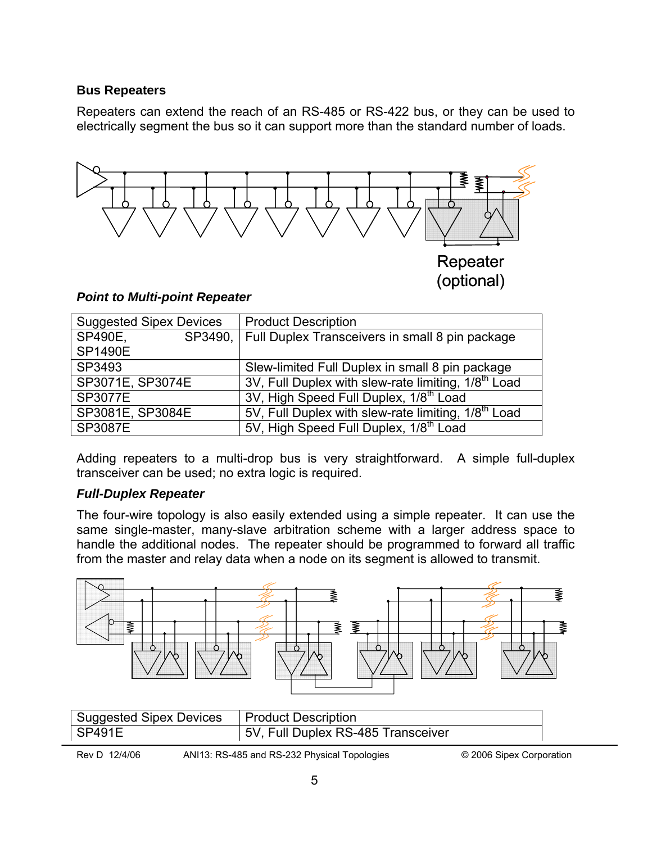#### **Bus Repeaters**

Repeaters can extend the reach of an RS-485 or RS-422 bus, or they can be used to electrically segment the bus so it can support more than the standard number of loads.



#### *Point to Multi-point Repeater*

| <b>Suggested Sipex Devices</b> | <b>Product Description</b>                                      |
|--------------------------------|-----------------------------------------------------------------|
| SP490E,                        | SP3490, Full Duplex Transceivers in small 8 pin package         |
| <b>SP1490E</b>                 |                                                                 |
| SP3493                         | Slew-limited Full Duplex in small 8 pin package                 |
| SP3071E, SP3074E               | 3V, Full Duplex with slew-rate limiting, 1/8 <sup>th</sup> Load |
| <b>SP3077E</b>                 | 3V, High Speed Full Duplex, 1/8 <sup>th</sup> Load              |
| SP3081E, SP3084E               | 5V, Full Duplex with slew-rate limiting, 1/8 <sup>th</sup> Load |
| <b>SP3087E</b>                 | 5V, High Speed Full Duplex, 1/8 <sup>th</sup> Load              |

Adding repeaters to a multi-drop bus is very straightforward. A simple full-duplex transceiver can be used; no extra logic is required.

#### *Full-Duplex Repeater*

The four-wire topology is also easily extended using a simple repeater. It can use the same single-master, many-slave arbitration scheme with a larger address space to handle the additional nodes. The repeater should be programmed to forward all traffic from the master and relay data when a node on its segment is allowed to transmit.



| <b>Suggested Sipex Devices</b> | <b>Product Description</b>         |
|--------------------------------|------------------------------------|
| $\vert$ SP491E                 | 5V, Full Duplex RS-485 Transceiver |

Rev D 12/4/06 ANI13: RS-485 and RS-232 Physical Topologies © 2006 Sipex Corporation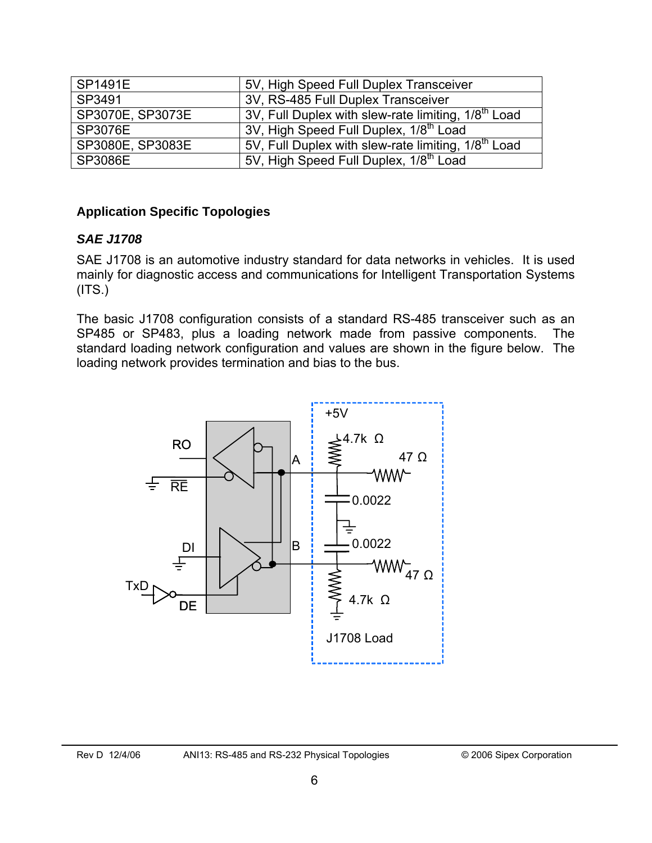| <b>SP1491E</b>   | 5V, High Speed Full Duplex Transceiver                          |
|------------------|-----------------------------------------------------------------|
| SP3491           | 3V, RS-485 Full Duplex Transceiver                              |
| SP3070E, SP3073E | 3V, Full Duplex with slew-rate limiting, 1/8 <sup>th</sup> Load |
| SP3076E          | 3V, High Speed Full Duplex, 1/8 <sup>th</sup> Load              |
| SP3080E, SP3083E | 5V, Full Duplex with slew-rate limiting, 1/8 <sup>th</sup> Load |
| <b>SP3086E</b>   | 5V, High Speed Full Duplex, 1/8 <sup>th</sup> Load              |

#### **Application Specific Topologies**

#### *SAE J1708*

SAE J1708 is an automotive industry standard for data networks in vehicles. It is used mainly for diagnostic access and communications for Intelligent Transportation Systems  $(ITS.)$ 

The basic J1708 configuration consists of a standard RS-485 transceiver such as an SP485 or SP483, plus a loading network made from passive components. The standard loading network configuration and values are shown in the figure below. The loading network provides termination and bias to the bus.

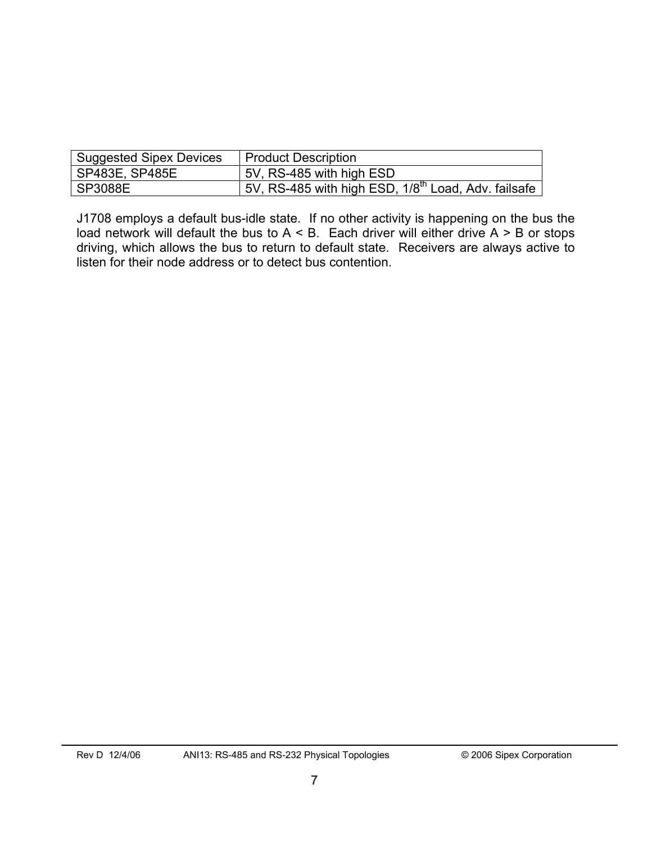| <b>Suggested Sipex Devices</b> | Product Description                                              |
|--------------------------------|------------------------------------------------------------------|
| SP483E, SP485E                 | 5V, RS-485 with high ESD                                         |
| SP3088E                        | 15V, RS-485 with high ESD, 1/8 <sup>th</sup> Load, Adv. failsafe |

J1708 employs a default bus-idle state. If no other activity is happening on the bus the load network will default the bus to  $A < B$ . Each driver will either drive  $A > B$  or stops driving, which allows the bus to return to default state. Receivers are always active to listen for their node address or to detect bus contention.